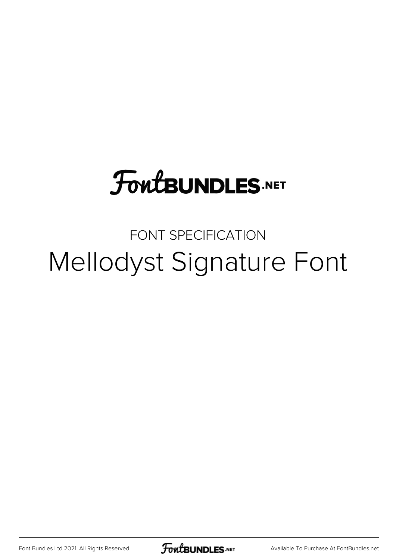# **FoutBUNDLES.NET**

## FONT SPECIFICATION Mellodyst Signature Font

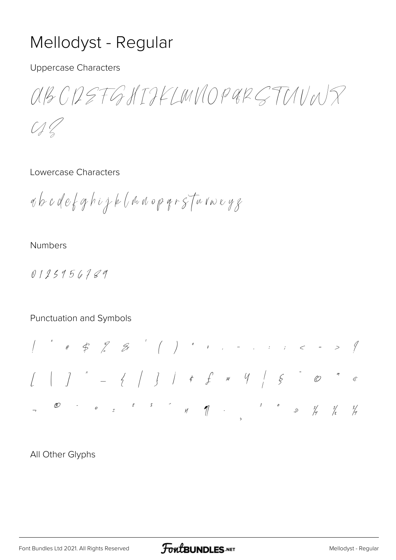### Mellodyst - Regular

**Uppercase Characters** 

 $A B C D S T G M T F L M U O P G R C T U U N S$  $\mathcal{U}/\mathcal{U}$ 

#### Lowercase Characters

abcdefghijk (naoparstavoryg

#### **Numbers**

0125956789

#### Punctuation and Symbols

All Other Glyphs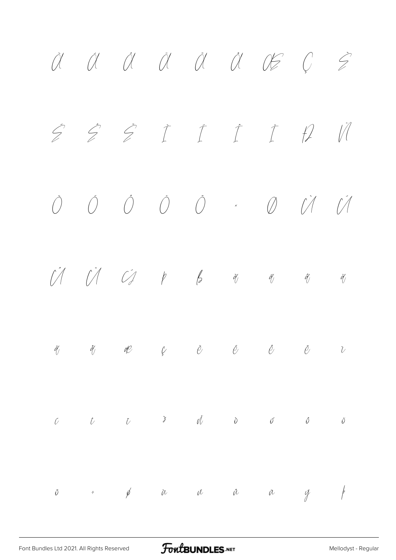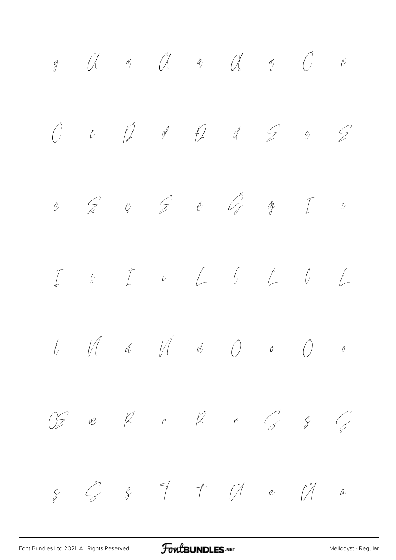ÿ Ā ā Ă ă Ą ą Ć ć Č č Ď ď Đ đ Ē ē Ė ė Ę ę Ě ě Ğ ğ Ī ī Į į İ ı Ĺ ĺ Ľ ľ Ł ł Ń ń Ň ň Ō ō Ő ő Œ œ Ŕ ŕ Ř ř Ś ś Ş ş Š š Ť ť Ū ū Ů ů